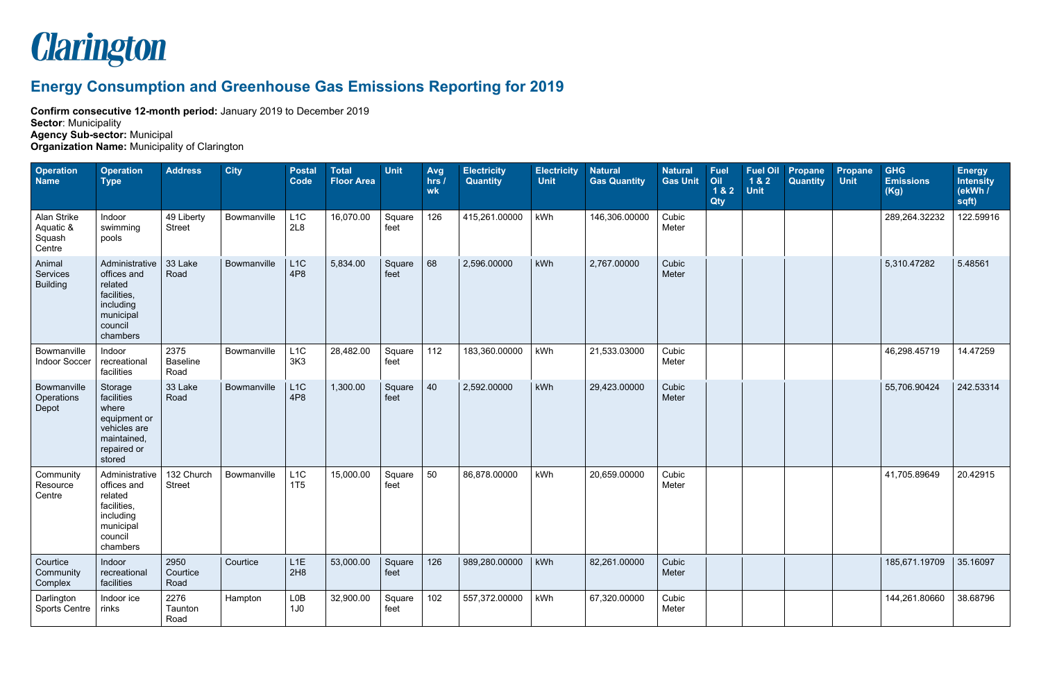

## **Energy Consumption and Greenhouse Gas Emissions Reporting for 2019**

**Confirm consecutive 12-month period:** January 2019 to December 2019

**Sector**: Municipality

**Agency Sub-sector:** Municipal

**Organization Name:** Municipality of Clarington

| <b>Operation</b><br><b>Name</b>              | <b>Operation</b><br><b>Type</b>                                                                          | <b>Address</b>                  | <b>City</b> | <b>Postal</b><br>Code  | <b>Total</b><br><b>Floor Area</b> | <b>Unit</b>    | Avg<br>hrs /<br>wk | <b>Electricity</b><br><b>Quantity</b> | <b>Electricity</b><br><b>Unit</b> | <b>Natural</b><br><b>Gas Quantity</b> | <b>Natural</b><br><b>Gas Unit</b> | <b>Fuel</b><br>Oil<br>1&2<br>Qty | <b>Fuel Oil</b><br>1&2<br><b>Unit</b> | <b>Propane</b><br>Quantity | <b>Propane</b><br><b>Unit</b> | <b>GHG</b><br><b>Emissions</b><br>(Kg) | <b>Energy</b><br><b>Intensity</b><br>(ekWh /<br>sqft) |
|----------------------------------------------|----------------------------------------------------------------------------------------------------------|---------------------------------|-------------|------------------------|-----------------------------------|----------------|--------------------|---------------------------------------|-----------------------------------|---------------------------------------|-----------------------------------|----------------------------------|---------------------------------------|----------------------------|-------------------------------|----------------------------------------|-------------------------------------------------------|
| Alan Strike<br>Aquatic &<br>Squash<br>Centre | Indoor<br>swimming<br>pools                                                                              | 49 Liberty<br><b>Street</b>     | Bowmanville | L1C<br>2L8             | 16,070.00                         | Square<br>feet | 126                | 415,261.00000                         | kWh                               | 146,306.00000                         | Cubic<br>Meter                    |                                  |                                       |                            |                               | 289,264.32232                          | 122.59916                                             |
| Animal<br>Services<br><b>Building</b>        | Administrative<br>offices and<br>related<br>facilities,<br>including<br>municipal<br>council<br>chambers | 33 Lake<br>Road                 | Bowmanville | L1C<br>4P8             | 5,834.00                          | Square<br>feet | 68                 | 2,596.00000                           | kWh                               | 2,767.00000                           | Cubic<br>Meter                    |                                  |                                       |                            |                               | 5,310.47282                            | 5.48561                                               |
| Bowmanville<br>Indoor Soccer                 | Indoor<br>recreational<br>facilities                                                                     | 2375<br><b>Baseline</b><br>Road | Bowmanville | L1C<br>3K3             | 28,482.00                         | Square<br>feet | 112                | 183,360.00000                         | kWh                               | 21,533.03000                          | Cubic<br>Meter                    |                                  |                                       |                            |                               | 46,298.45719                           | 14.47259                                              |
| Bowmanville<br>Operations<br>Depot           | Storage<br>facilities<br>where<br>equipment or<br>vehicles are<br>maintained,<br>repaired or<br>stored   | 33 Lake<br>Road                 | Bowmanville | L1C<br>4P8             | 1,300.00                          | Square<br>feet | 40                 | 2,592.00000                           | kWh                               | 29,423.00000                          | Cubic<br>Meter                    |                                  |                                       |                            |                               | 55,706.90424                           | 242.53314                                             |
| Community<br>Resource<br>Centre              | Administrative<br>offices and<br>related<br>facilities,<br>including<br>municipal<br>council<br>chambers | 132 Church<br><b>Street</b>     | Bowmanville | L1C<br>1T5             | 15,000.00                         | Square<br>feet | 50                 | 86,878.00000                          | kWh                               | 20,659.00000                          | Cubic<br>Meter                    |                                  |                                       |                            |                               | 41,705.89649                           | 20.42915                                              |
| Courtice<br>Community<br>Complex             | Indoor<br>recreational<br>facilities                                                                     | 2950<br>Courtice<br>Road        | Courtice    | L1E<br>2H8             | 53,000.00                         | Square<br>feet | 126                | 989,280.00000                         | kWh                               | 82,261.00000                          | Cubic<br>Meter                    |                                  |                                       |                            |                               | 185,671.19709                          | 35.16097                                              |
| Darlington<br><b>Sports Centre</b>           | Indoor ice<br>rinks                                                                                      | 2276<br>Taunton<br>Road         | Hampton     | LOB<br>1J <sub>0</sub> | 32,900.00                         | Square<br>feet | 102                | 557,372.00000                         | kWh                               | 67,320.00000                          | Cubic<br>Meter                    |                                  |                                       |                            |                               | 144,261.80660                          | 38.68796                                              |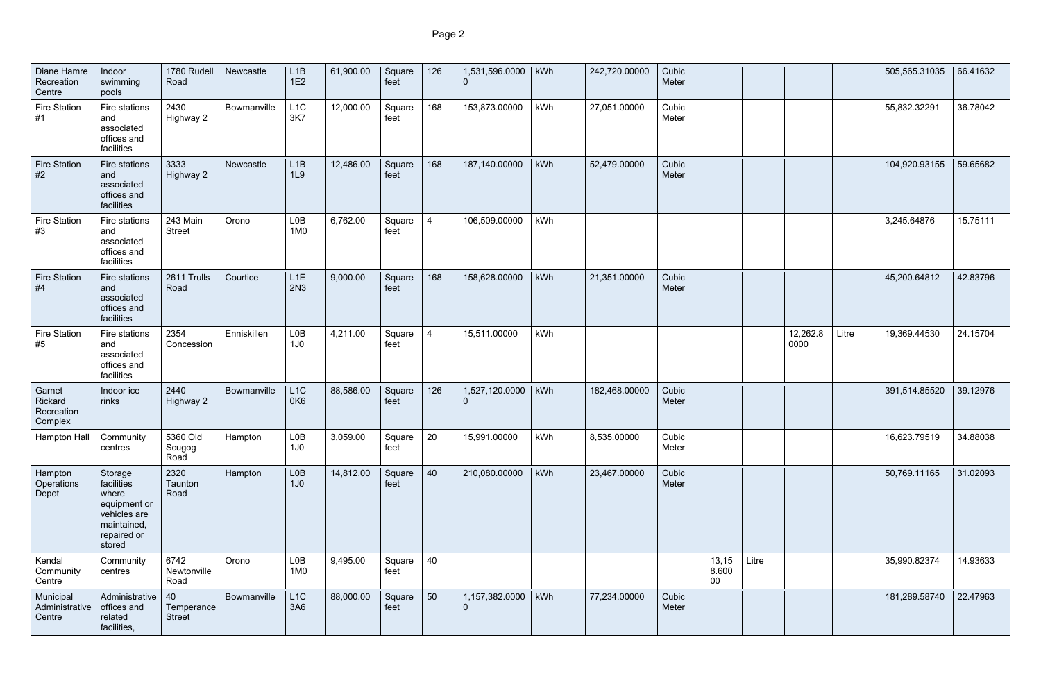| Diane Hamre<br>Recreation<br>Centre        | Indoor<br>swimming<br>pools                                                                            | 1780 Rudell<br>Road               | Newcastle   | L1B<br>1E2                          | 61,900.00 | Square<br>feet | 126 | 1,531,596.0000                   | kWh | 242,720.00000 | Cubic<br>Meter |                          |       |                  |       | 505,565.31035 | 66.41632 |
|--------------------------------------------|--------------------------------------------------------------------------------------------------------|-----------------------------------|-------------|-------------------------------------|-----------|----------------|-----|----------------------------------|-----|---------------|----------------|--------------------------|-------|------------------|-------|---------------|----------|
| <b>Fire Station</b><br>#1                  | Fire stations<br>and<br>associated<br>offices and<br>facilities                                        | 2430<br>Highway 2                 | Bowmanville | L <sub>1</sub> C<br>3K7             | 12,000.00 | Square<br>feet | 168 | 153,873.00000                    | kWh | 27,051.00000  | Cubic<br>Meter |                          |       |                  |       | 55,832.32291  | 36.78042 |
| <b>Fire Station</b><br>#2                  | Fire stations<br>and<br>associated<br>offices and<br>facilities                                        | 3333<br>Highway 2                 | Newcastle   | L1B<br>1L9                          | 12,486.00 | Square<br>feet | 168 | 187,140.00000                    | kWh | 52,479.00000  | Cubic<br>Meter |                          |       |                  |       | 104,920.93155 | 59.65682 |
| <b>Fire Station</b><br>#3                  | Fire stations<br>and<br>associated<br>offices and<br>facilities                                        | 243 Main<br><b>Street</b>         | Orono       | LOB<br>1M0                          | 6,762.00  | Square<br>feet | -4  | 106,509.00000                    | kWh |               |                |                          |       |                  |       | 3,245.64876   | 15.75111 |
| <b>Fire Station</b><br>#4                  | Fire stations<br>and<br>associated<br>offices and<br>facilities                                        | 2611 Trulls<br>Road               | Courtice    | L1E<br>2N3                          | 9,000.00  | Square<br>feet | 168 | 158,628.00000                    | kWh | 21,351.00000  | Cubic<br>Meter |                          |       |                  |       | 45,200.64812  | 42.83796 |
| <b>Fire Station</b><br>#5                  | Fire stations<br>and<br>associated<br>offices and<br>facilities                                        | 2354<br>Concession                | Enniskillen | LOB<br>1J <sub>0</sub>              | 4,211.00  | Square<br>feet | 4   | 15,511.00000                     | kWh |               |                |                          |       | 12,262.8<br>0000 | Litre | 19,369.44530  | 24.15704 |
| Garnet<br>Rickard<br>Recreation<br>Complex | Indoor ice<br>rinks                                                                                    | 2440<br>Highway 2                 | Bowmanville | L1C<br>0K6                          | 88,586.00 | Square<br>feet | 126 | 1,527,120.0000                   | kWh | 182,468.00000 | Cubic<br>Meter |                          |       |                  |       | 391,514.85520 | 39.12976 |
| Hampton Hall                               | Community<br>centres                                                                                   | 5360 Old<br>Scugog<br>Road        | Hampton     | L <sub>0</sub> B<br>1J <sub>0</sub> | 3,059.00  | Square<br>feet | 20  | 15,991.00000                     | kWh | 8,535.00000   | Cubic<br>Meter |                          |       |                  |       | 16,623.79519  | 34.88038 |
| Hampton<br>Operations<br>Depot             | Storage<br>facilities<br>where<br>equipment or<br>vehicles are<br>maintained,<br>repaired or<br>stored | 2320<br>Taunton<br>Road           | Hampton     | L <sub>0</sub> B<br>1J <sub>0</sub> | 14,812.00 | Square<br>feet | 40  | 210,080.00000                    | kWh | 23,467.00000  | Cubic<br>Meter |                          |       |                  |       | 50,769.11165  | 31.02093 |
| Kendal<br>Community<br>Centre              | Community<br>centres                                                                                   | 6742<br>Newtonville<br>Road       | Orono       | L <sub>0</sub> B<br>1M <sub>0</sub> | 9,495.00  | Square<br>feet | 40  |                                  |     |               |                | 13,15<br>8.600<br>$00\,$ | Litre |                  |       | 35,990.82374  | 14.93633 |
| Municipal<br>Administrative<br>Centre      | Administrative<br>offices and<br>related<br>facilities,                                                | 40<br>Temperance<br><b>Street</b> | Bowmanville | L1C<br>3A6                          | 88,000.00 | Square<br>feet | 50  | 1,157,382.0000<br>$\overline{0}$ | kWh | 77,234.00000  | Cubic<br>Meter |                          |       |                  |       | 181,289.58740 | 22.47963 |